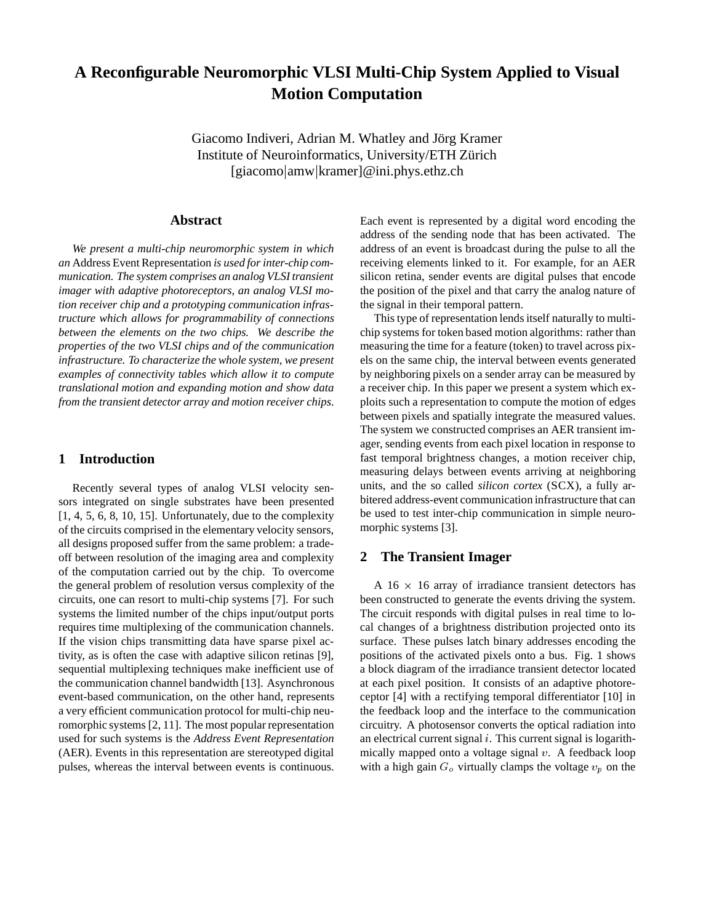# **A Reconfigurable Neuromorphic VLSI Multi-Chip System Applied to Visual Motion Computation**

Giacomo Indiveri, Adrian M. Whatley and Jörg Kramer Institute of Neuroinformatics, University/ETH Zürich [giacomojamwjkramer]@ini.phys.ethz.ch

## **Abstract**

*We present a multi-chip neuromorphic system in which an* Address Event Representation *is used for inter-chip communication. The system comprises an analog VLSI transient imager with adaptive photoreceptors, an analog VLSI motion receiver chip and a prototyping communication infrastructure which allows for programmability of connections between the elements on the two chips. We describe the properties of the two VLSI chips and of the communication infrastructure. To characterize the whole system, we present examples of connectivity tables which allow it to compute translational motion and expanding motion and show data from the transient detector array and motion receiver chips.*

#### **1 Introduction**

Recently several types of analog VLSI velocity sensors integrated on single substrates have been presented  $[1, 4, 5, 6, 8, 10, 15]$ . Unfortunately, due to the complexity of the circuits comprised in the elementary velocity sensors, all designs proposed suffer from the same problem: a tradeoff between resolution of the imaging area and complexity of the computation carried out by the chip. To overcome the general problem of resolution versus complexity of the circuits, one can resort to multi-chip systems [7]. For such systems the limited number of the chips input/output ports requires time multiplexing of the communication channels. If the vision chips transmitting data have sparse pixel activity, as is often the case with adaptive silicon retinas [9], sequential multiplexing techniques make inefficient use of the communication channel bandwidth [13]. Asynchronous event-based communication, on the other hand, represents a very efficient communication protocol for multi-chip neuromorphic systems [2, 11]. The most popular representation used for such systems is the *Address Event Representation* (AER). Events in this representation are stereotyped digital pulses, whereas the interval between events is continuous.

Each event is represented by a digital word encoding the address of the sending node that has been activated. The address of an event is broadcast during the pulse to all the receiving elements linked to it. For example, for an AER silicon retina, sender events are digital pulses that encode the position of the pixel and that carry the analog nature of the signal in their temporal pattern.

This type of representation lends itself naturally to multichip systems for token based motion algorithms: rather than measuring the time for a feature (token) to travel across pixels on the same chip, the interval between events generated by neighboring pixels on a sender array can be measured by a receiver chip. In this paper we present a system which exploits such a representation to compute the motion of edges between pixels and spatially integrate the measured values. The system we constructed comprises an AER transient imager, sending events from each pixel location in response to fast temporal brightness changes, a motion receiver chip, measuring delays between events arriving at neighboring units, and the so called *silicon cortex* (SCX), a fully arbitered address-event communication infrastructure that can be used to test inter-chip communication in simple neuromorphic systems [3].

# **2 The Transient Imager**

A  $16 \times 16$  array of irradiance transient detectors has been constructed to generate the events driving the system. The circuit responds with digital pulses in real time to local changes of a brightness distribution projected onto its surface. These pulses latch binary addresses encoding the positions of the activated pixels onto a bus. Fig. 1 shows a block diagram of the irradiance transient detector located at each pixel position. It consists of an adaptive photoreceptor [4] with a rectifying temporal differentiator [10] in the feedback loop and the interface to the communication circuitry. A photosensor converts the optical radiation into an electrical current signal <sup>i</sup>. This current signal is logarithmically mapped onto a voltage signal  $v$ . A feedback loop with a high gain  $G<sub>o</sub>$  virtually clamps the voltage  $v<sub>p</sub>$  on the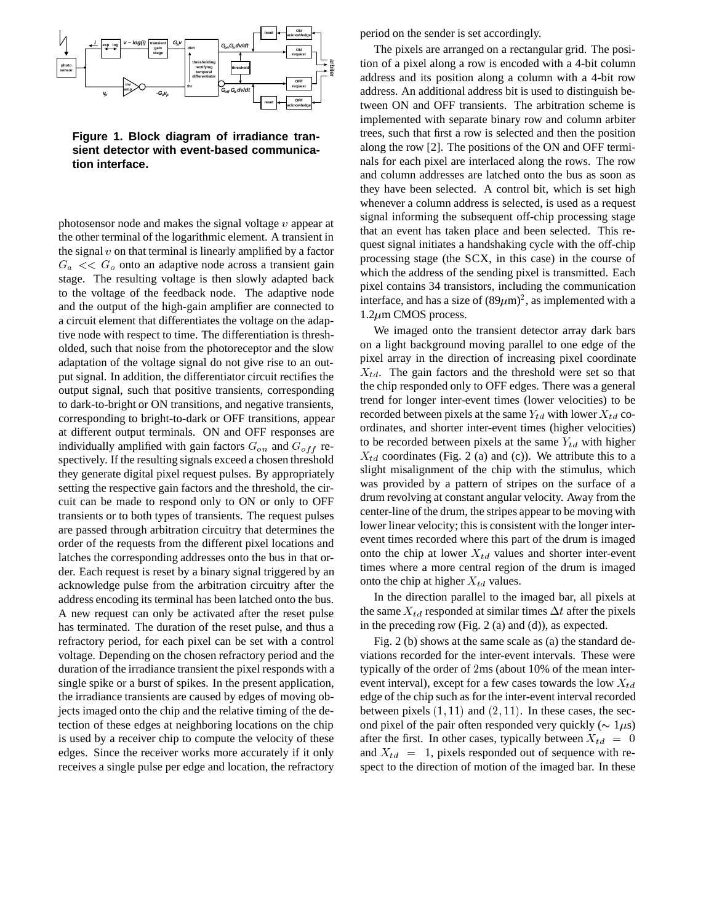

**Figure 1. Block diagram of irradiance transient detector with event-based communication interface.**

photosensor node and makes the signal voltage  $v$  appear at the other terminal of the logarithmic element. A transient in the signal  $v$  on that terminal is linearly amplified by a factor  $G_a \ll G_o$  onto an adaptive node across a transient gain stage. The resulting voltage is then slowly adapted back to the voltage of the feedback node. The adaptive node and the output of the high-gain amplifier are connected to a circuit element that differentiates the voltage on the adaptive node with respect to time. The differentiation is thresholded, such that noise from the photoreceptor and the slow adaptation of the voltage signal do not give rise to an output signal. In addition, the differentiator circuit rectifies the output signal, such that positive transients, corresponding to dark-to-bright or ON transitions, and negative transients, corresponding to bright-to-dark or OFF transitions, appear at different output terminals. ON and OFF responses are individually amplified with gain factors  $G_{on}$  and  $G_{off}$  respectively. If the resulting signals exceed a chosen threshold they generate digital pixel request pulses. By appropriately setting the respective gain factors and the threshold, the circuit can be made to respond only to ON or only to OFF transients or to both types of transients. The request pulses are passed through arbitration circuitry that determines the order of the requests from the different pixel locations and latches the corresponding addresses onto the bus in that order. Each request is reset by a binary signal triggered by an acknowledge pulse from the arbitration circuitry after the address encoding its terminal has been latched onto the bus. A new request can only be activated after the reset pulse has terminated. The duration of the reset pulse, and thus a refractory period, for each pixel can be set with a control voltage. Depending on the chosen refractory period and the duration of the irradiance transient the pixel responds with a single spike or a burst of spikes. In the present application, the irradiance transients are caused by edges of moving objects imaged onto the chip and the relative timing of the detection of these edges at neighboring locations on the chip is used by a receiver chip to compute the velocity of these edges. Since the receiver works more accurately if it only receives a single pulse per edge and location, the refractory

period on the sender is set accordingly.

The pixels are arranged on a rectangular grid. The position of a pixel along a row is encoded with a 4-bit column address and its position along a column with a 4-bit row address. An additional address bit is used to distinguish between ON and OFF transients. The arbitration scheme is implemented with separate binary row and column arbiter trees, such that first a row is selected and then the position along the row [2]. The positions of the ON and OFF terminals for each pixel are interlaced along the rows. The row and column addresses are latched onto the bus as soon as they have been selected. A control bit, which is set high whenever a column address is selected, is used as a request signal informing the subsequent off-chip processing stage that an event has taken place and been selected. This request signal initiates a handshaking cycle with the off-chip processing stage (the SCX, in this case) in the course of which the address of the sending pixel is transmitted. Each pixel contains 34 transistors, including the communication interface, and has a size of  $(89 \mu m)^2$ , as implemented with a  $1.2 \mu$ m CMOS process.

We imaged onto the transient detector array dark bars on a light background moving parallel to one edge of the pixel array in the direction of increasing pixel coordinate  $X_{td}$ . The gain factors and the threshold were set so that the chip responded only to OFF edges. There was a general trend for longer inter-event times (lower velocities) to be recorded between pixels at the same  $Y_{td}$  with lower  $X_{td}$  coordinates, and shorter inter-event times (higher velocities) to be recorded between pixels at the same  $Y_{td}$  with higher  $X_{td}$  coordinates (Fig. 2 (a) and (c)). We attribute this to a slight misalignment of the chip with the stimulus, which was provided by a pattern of stripes on the surface of a drum revolving at constant angular velocity. Away from the center-line of the drum, the stripes appear to be moving with lower linear velocity; this is consistent with the longer interevent times recorded where this part of the drum is imaged onto the chip at lower  $X_{td}$  values and shorter inter-event times where a more central region of the drum is imaged onto the chip at higher  $X_{td}$  values.

In the direction parallel to the imaged bar, all pixels at the same  $X_{td}$  responded at similar times  $\Delta t$  after the pixels in the preceding row (Fig. 2 (a) and (d)), as expected.

Fig. 2 (b) shows at the same scale as (a) the standard deviations recorded for the inter-event intervals. These were typically of the order of <sup>2</sup>ms (about 10% of the mean interevent interval), except for a few cases towards the low  $X_{td}$ edge of the chip such as for the inter-event interval recorded between pixels  $(1, 11)$  and  $(2, 11)$ . In these cases, the second pixel of the pair often responded very quickly ( $\sim 1 \mu s$ ) after the first. In other cases, typically between  $X_{td} = 0$ and  $X_{td}$  = 1, pixels responded out of sequence with respect to the direction of motion of the imaged bar. In these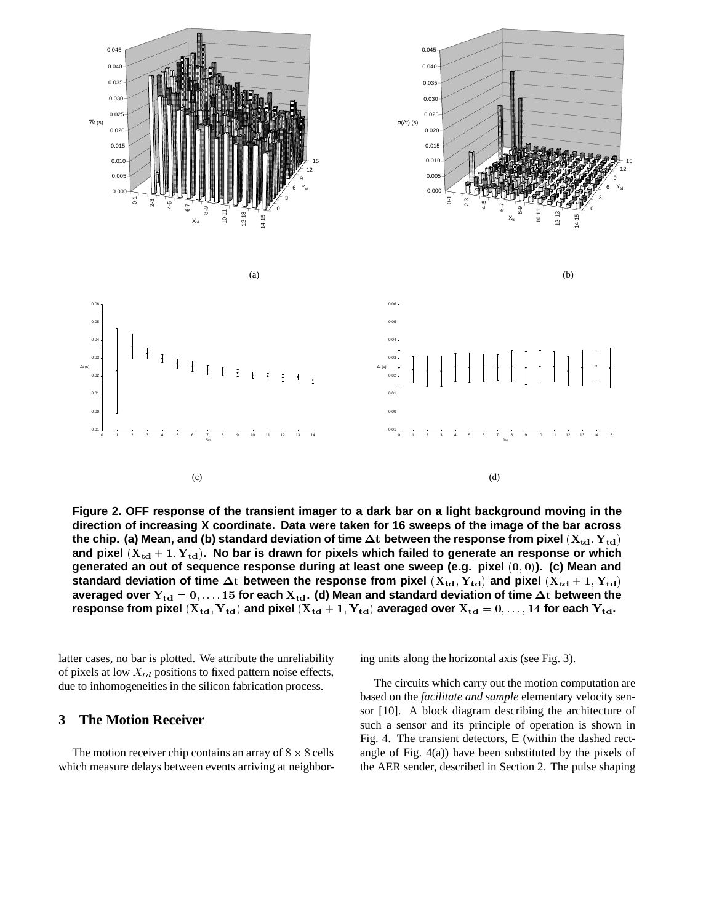

**Figure 2. OFF response of the transient imager to a dark bar on a light background moving in the direction of increasing X coordinate. Data were taken for 16 sweeps of the image of the bar across** the chip. (a) Mean, and (b) standard deviation of time  $\Delta t$  between the response from pixel  $(X_{td}, Y_{td})$ and pixel  $(X_{td} + 1, Y_{td})$ . No bar is drawn for pixels which failed to generate an response or which **generated an out of sequence response during at least one sweep (e.g. pixel** (0; 0)**). (c) Mean and** standard deviation of time  $\Delta t$  between the response from pixel  $(X_{td}, Y_{td})$  and pixel  $(X_{td} + 1, Y_{td})$ averaged over  $Y_{td} = 0, \ldots, 15$  for each  $X_{td}$ . (d) Mean and standard deviation of time  $\Delta t$  between the **response from pixel**  $(X_{td}, Y_{td})$  and pixel  $(X_{td} + 1, Y_{td})$  averaged over  $X_{td} = 0, \ldots, 14$  for each  $Y_{td}$ .

latter cases, no bar is plotted. We attribute the unreliability of pixels at low  $X_{td}$  positions to fixed pattern noise effects, due to inhomogeneities in the silicon fabrication process.

# **3 The Motion Receiver**

The motion receiver chip contains an array of  $8 \times 8$  cells are which measure delays between events arriving at neighbor-

ing units along the horizontal axis (see Fig. 3).

The circuits which carry out the motion computation are based on the *facilitate and sample* elementary velocity sensor [10]. A block diagram describing the architecture of such a sensor and its principle of operation is shown in Fig. 4. The transient detectors, E (within the dashed rectangle of Fig. 4(a)) have been substituted by the pixels of the AER sender, described in Section 2. The pulse shaping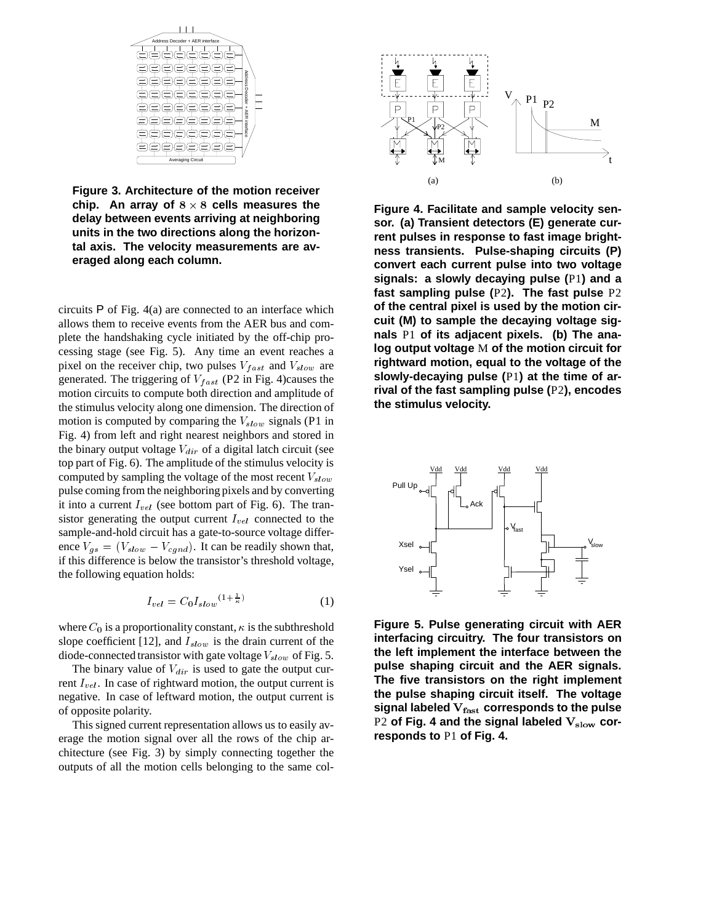

**Figure 3. Architecture of the motion receiver** chip. An array of  $8 \times 8$  cells measures the **delay between events arriving at neighboring units in the two directions along the horizontal axis. The velocity measurements are averaged along each column.**

circuits P of Fig. 4(a) are connected to an interface which allows them to receive events from the AER bus and complete the handshaking cycle initiated by the off-chip processing stage (see Fig. 5). Any time an event reaches a pixel on the receiver chip, two pulses  $V_{fast}$  and  $V_{slow}$  are generated. The triggering of  $V_{fast}$  (P2 in Fig. 4)causes the motion circuits to compute both direction and amplitude of the stimulus velocity along one dimension. The direction of motion is computed by comparing the  $V_{slow}$  signals (P1 in Fig. 4) from left and right nearest neighbors and stored in the binary output voltage  $V_{dir}$  of a digital latch circuit (see top part of Fig. 6). The amplitude of the stimulus velocity is computed by sampling the voltage of the most recent  $V_{slow}$ pulse coming from the neighboring pixels and by converting it into a current  $I_{vel}$  (see bottom part of Fig. 6). The transistor generating the output current  $I_{vel}$  connected to the sample-and-hold circuit has a gate-to-source voltage difference  $V_{gs} = (V_{slow} - V_{cgnd})$ . It can be readily shown that, if this difference is below the transistor's threshold voltage, the following equation holds:

$$
I_{vel} = C_0 I_{slow} \stackrel{(1+\frac{1}{\kappa})}{\longrightarrow} \tag{1}
$$

where  $C_0$  is a proportionality constant,  $\kappa$  is the subthreshold slope coefficient [12], and  $I_{slow}$  is the drain current of the diode-connected transistor with gate voltage  $V_{slow}$  of Fig. 5.

The binary value of  $V_{dir}$  is used to gate the output current  $I_{vel}$ . In case of rightward motion, the output current is negative. In case of leftward motion, the output current is of opposite polarity.

This signed current representation allows us to easily average the motion signal over all the rows of the chip architecture (see Fig. 3) by simply connecting together the outputs of all the motion cells belonging to the same col-



**Figure 4. Facilitate and sample velocity sensor. (a) Transient detectors (E) generate current pulses in response to fast image brightness transients. Pulse-shaping circuits (P) convert each current pulse into two voltage signals: a slowly decaying pulse (**P1**) and a fast sampling pulse (**P2**). The fast pulse** P2 **of the central pixel is used by the motion circuit (M) to sample the decaying voltage signals** P1 **of its adjacent pixels. (b) The analog output voltage** M **of the motion circuit for rightward motion, equal to the voltage of the slowly-decaying pulse (**P1**) at the time of arrival of the fast sampling pulse (**P2**), encodes the stimulus velocity.**



**Figure 5. Pulse generating circuit with AER interfacing circuitry. The four transistors on the left implement the interface between the pulse shaping circuit and the AER signals. The five transistors on the right implement the pulse shaping circuit itself. The voltage** signal labeled  $V_{fast}$  corresponds to the pulse P<sub>2</sub> of Fig. 4 and the signal labeled  $V_{slow}$  cor**responds to** P1 **of Fig. 4.**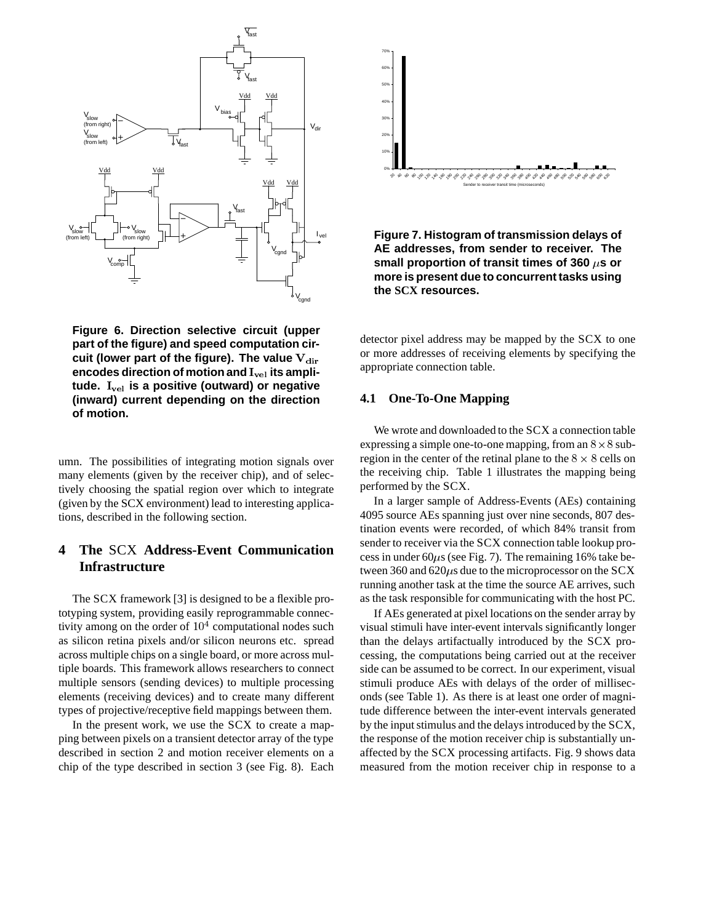



**Figure 7. Histogram of transmission delays of AE addresses, from sender to receiver. The** small proportion of transit times of 360  $\mu$ s or **more is present due to concurrent tasks using the SCX resources.**

**Figure 6. Direction selective circuit (upper part of the figure) and speed computation cir**cuit (lower part of the figure). The value V<sub>dir</sub> encodes direction of motion and I<sub>vel</sub> its amplitude. I<sub>vel</sub> is a positive (outward) or negative **(inward) current depending on the direction of motion.**

umn. The possibilities of integrating motion signals over many elements (given by the receiver chip), and of selectively choosing the spatial region over which to integrate (given by the SCX environment) lead to interesting applications, described in the following section.

# **4 The** SCX **Address-Event Communication Infrastructure**

The SCX framework [3] is designed to be a flexible prototyping system, providing easily reprogrammable connectivity among on the order of  $10<sup>4</sup>$  computational nodes such as silicon retina pixels and/or silicon neurons etc. spread across multiple chips on a single board, or more across multiple boards. This framework allows researchers to connect multiple sensors (sending devices) to multiple processing elements (receiving devices) and to create many different types of projective/receptive field mappings between them.

In the present work, we use the SCX to create a mapping between pixels on a transient detector array of the type described in section 2 and motion receiver elements on a chip of the type described in section 3 (see Fig. 8). Each detector pixel address may be mapped by the SCX to one or more addresses of receiving elements by specifying the appropriate connection table.

#### **4.1 One-To-One Mapping**

We wrote and downloaded to the SCX a connection table expressing a simple one-to-one mapping, from an  $8 \times 8$  subregion in the center of the retinal plane to the  $8 \times 8$  cells on the receiving chip. Table 1 illustrates the mapping being performed by the SCX.

In a larger sample of Address-Events (AEs) containing 4095 source AEs spanning just over nine seconds, 807 destination events were recorded, of which 84% transit from sender to receiver via the SCX connection table lookup process in under  $60\mu s$  (see Fig. 7). The remaining 16% take between 360 and  $620\mu s$  due to the microprocessor on the SCX running another task at the time the source AE arrives, such as the task responsible for communicating with the host PC.

If AEs generated at pixel locations on the sender array by visual stimuli have inter-event intervals significantly longer than the delays artifactually introduced by the SCX processing, the computations being carried out at the receiver side can be assumed to be correct. In our experiment, visual stimuli produce AEs with delays of the order of milliseconds (see Table 1). As there is at least one order of magnitude difference between the inter-event intervals generated by the input stimulus and the delays introduced by the SCX, the response of the motion receiver chip is substantially unaffected by the SCX processing artifacts. Fig. 9 shows data measured from the motion receiver chip in response to a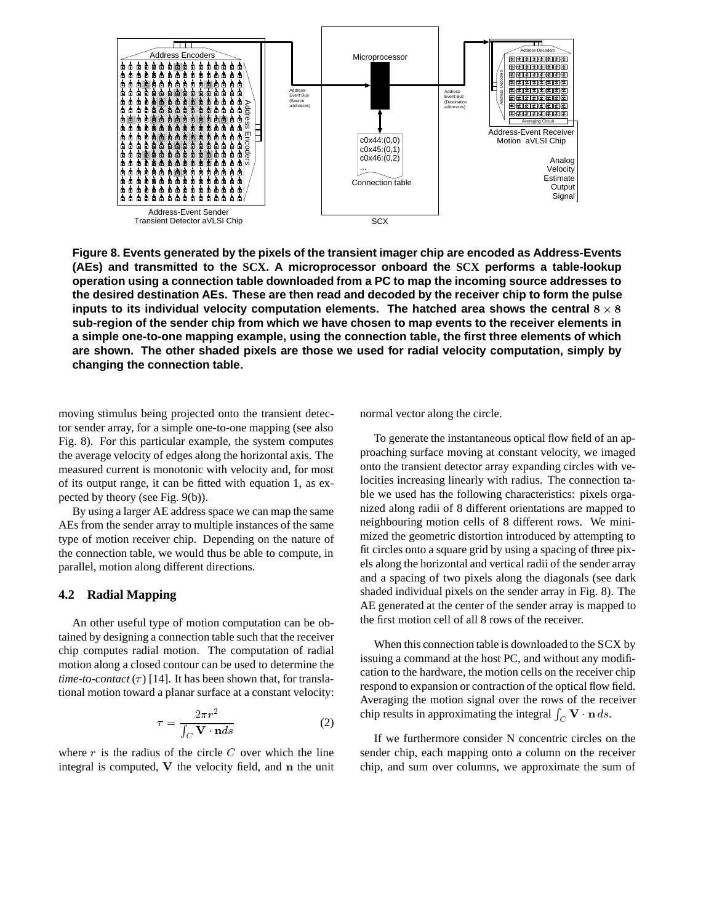

**Figure 8. Events generated by the pixels of the transient imager chip are encoded as Address-Events (AEs) and transmitted to the SCX. A microprocessor onboard the SCX performs a table-lookup operation using a connection table downloaded from a PC to map the incoming source addresses to the desired destination AEs. These are then read and decoded by the receiver chip to form the pulse** inputs to its individual velocity computation elements. The hatched area shows the central  $8\times 8$ **sub-region of the sender chip from which we have chosen to map events to the receiver elements in a simple one-to-one mapping example, using the connection table, the first three elements of which are shown. The other shaded pixels are those we used for radial velocity computation, simply by changing the connection table.**

moving stimulus being projected onto the transient detector sender array, for a simple one-to-one mapping (see also Fig. 8). For this particular example, the system computes the average velocity of edges along the horizontal axis. The measured current is monotonic with velocity and, for most of its output range, it can be fitted with equation 1, as expected by theory (see Fig. 9(b)).

By using a larger AE address space we can map the same AEs from the sender array to multiple instances of the same type of motion receiver chip. Depending on the nature of the connection table, we would thus be able to compute, in parallel, motion along different directions.

#### **4.2 Radial Mapping**

An other useful type of motion computation can be obtained by designing a connection table such that the receiver chip computes radial motion. The computation of radial motion along a closed contour can be used to determine the *time-to-contact*  $(\tau)$  [14]. It has been shown that, for translational motion toward a planar surface at a constant velocity:

$$
\tau = \frac{2\pi r^2}{\int_C \mathbf{V} \cdot \mathbf{n} ds} \tag{2}
$$

where r is the radius of the circle  $C$  over which the line integral is computed, <sup>V</sup> the velocity field, and <sup>n</sup> the unit normal vector along the circle.

To generate the instantaneous optical flow field of an approaching surface moving at constant velocity, we imaged onto the transient detector array expanding circles with velocities increasing linearly with radius. The connection table we used has the following characteristics: pixels organized along radii of 8 different orientations are mapped to neighbouring motion cells of 8 different rows. We minimized the geometric distortion introduced by attempting to fit circles onto a square grid by using a spacing of three pixels along the horizontal and vertical radii of the sender array and a spacing of two pixels along the diagonals (see dark shaded individual pixels on the sender array in Fig. 8). The AE generated at the center of the sender array is mapped to the first motion cell of all 8 rows of the receiver.

When this connection table is downloaded to the SCX by issuing a command at the host PC, and without any modification to the hardware, the motion cells on the receiver chip respond to expansion or contraction of the optical flow field. Averaging the motion signal over the rows of the receiver chip results in approximating the integral  $\int_C \mathbf{V} \cdot \mathbf{n} ds$ .

If we furthermore consider N concentric circles on the sender chip, each mapping onto a column on the receiver chip, and sum over columns, we approximate the sum of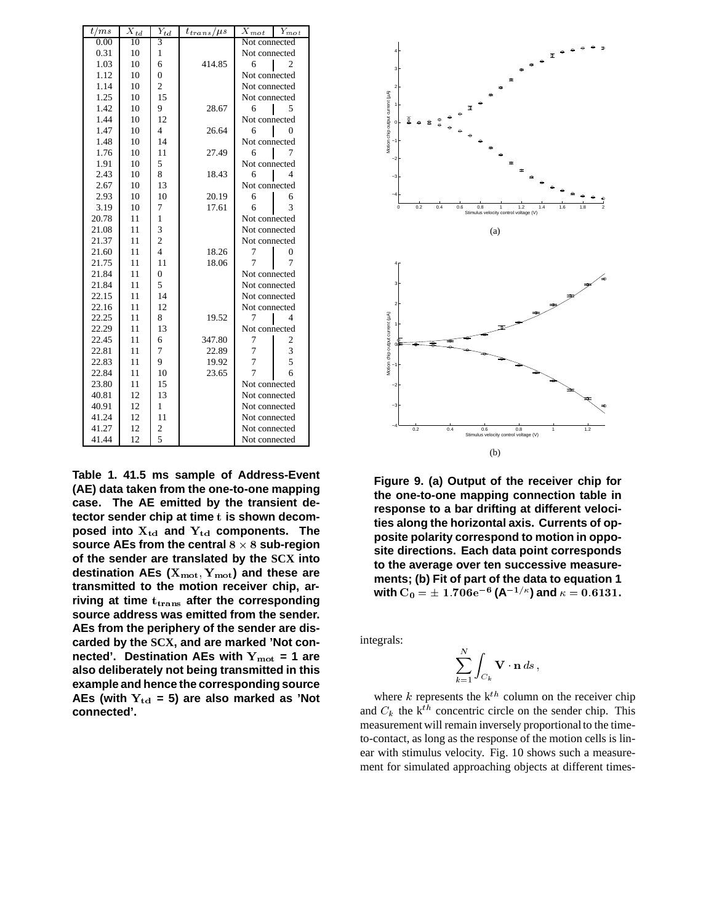| t/ms  | $\overline{X_{t}}_{d}$ | ${\cal Y}_{td}$         | $t_{trans}/\mu s$ | $X_{mot}$     | $_{Y_{mot}}$  |  |
|-------|------------------------|-------------------------|-------------------|---------------|---------------|--|
| 0.00  | 10                     | 3                       |                   | Not connected |               |  |
| 0.31  | 10                     | $\mathbf{1}$            |                   | Not connected |               |  |
| 1.03  | 10                     | 6                       | 414.85            | 6             | 2             |  |
| 1.12  | 10                     | $\mathbf 0$             |                   | Not connected |               |  |
| 1.14  | 10                     | $\overline{c}$          |                   | Not connected |               |  |
| 1.25  | 10                     | 15                      |                   | Not connected |               |  |
| 1.42  | 10                     | 9                       | 28.67             | 6             | 5             |  |
| 1.44  | 10                     | 12                      |                   | Not connected |               |  |
| 1.47  | 10                     | $\overline{4}$          | 26.64             | 6             | 0             |  |
| 1.48  | 10                     | 14                      |                   | Not connected |               |  |
| 1.76  | 10                     | 11                      | 27.49             | 6             | 7             |  |
| 1.91  | 10                     | 5                       |                   | Not connected |               |  |
| 2.43  | 10                     | 8                       | 18.43             | 6             | 4             |  |
| 2.67  | 10                     | 13                      |                   | Not connected |               |  |
| 2.93  | 10                     | 10                      | 20.19             | 6             | 6             |  |
| 3.19  | 10                     | 7                       | 17.61             | 6             | $\mathcal{R}$ |  |
| 20.78 | 11                     | $\mathbf{1}$            |                   | Not connected |               |  |
| 21.08 | 11                     | 3                       |                   | Not connected |               |  |
| 21.37 | 11                     | $\overline{c}$          |                   | Not connected |               |  |
| 21.60 | 11                     | $\overline{4}$          | 18.26             | 7             | 0             |  |
| 21.75 | 11                     | 11                      | 18.06             | 7             | 7             |  |
| 21.84 | 11                     | $\boldsymbol{0}$        |                   | Not connected |               |  |
| 21.84 | 11                     | 5                       |                   | Not connected |               |  |
| 22.15 | 11                     | 14                      |                   | Not connected |               |  |
| 22.16 | 11                     | 12                      |                   | Not connected |               |  |
| 22.25 | 11                     | 8                       | 19.52             | 7             | 4             |  |
| 22.29 | 11                     | 13                      |                   | Not connected |               |  |
| 22.45 | 11                     | 6                       | 347.80            | 7             | 2             |  |
| 22.81 | 11                     | 7                       | 22.89             | 7             | 3             |  |
| 22.83 | 11                     | 9                       | 19.92             | 7             | 5             |  |
| 22.84 | 11                     | 10                      | 23.65             | 7             | 6             |  |
| 23.80 | 11                     | 15                      |                   | Not connected |               |  |
| 40.81 | 12                     | 13                      |                   | Not connected |               |  |
| 40.91 | 12                     | 1                       |                   | Not connected |               |  |
| 41.24 | 12                     | 11                      |                   | Not connected |               |  |
| 41.27 | 12                     | $\overline{\mathbf{c}}$ |                   | Not connected |               |  |
| 41.44 | 12                     | 5                       |                   | Not connected |               |  |

**Table 1. 41.5 ms sample of Address-Event (AE) data taken from the one-to-one mapping case. The AE emitted by the transient detector sender chip at time** <sup>t</sup> **is shown decom**posed into  $X_{td}$  and  $Y_{td}$  components. The source AEs from the central  $8 \times 8$  sub-region **of the sender are translated by the SCX into** destination AEs ( $X_{mot}$ ,  $Y_{mot}$ ) and these are **transmitted to the motion receiver chip, ar**riving at time  $t_{trans}$  after the corresponding **source address was emitted from the sender. AEs from the periphery of the sender are discarded by the SCX, and are marked 'Not con**nected'. Destination AEs with  $Y_{\text{mot}} = 1$  are **also deliberately not being transmitted in this example and hence the corresponding source** AEs (with  $Y_{td} = 5$ ) are also marked as 'Not **connected'.**



**Figure 9. (a) Output of the receiver chip for the one-to-one mapping connection table in response to a bar drifting at different velocities along the horizontal axis. Currents of opposite polarity correspond to motion in opposite directions. Each data point corresponds to the average over ten successive measurements; (b) Fit of part of the data to equation 1** with  $\rm C_{0}$   $=$   $\pm$   $1.706$ e $^{-6}$  (A $^{-1/\kappa}$ ) and  $\kappa$   $=$   $0.6131$ .

integrals:

$$
\sum_{k=1}^N \int_{C_k} {\mathbf V}\cdot {\mathbf n} \, ds \, ,
$$

where  $k$  represents the  $k^{th}$  column on the receiver chip and  $C_k$  the k<sup>th</sup> concentric circle on the sender chip. This measurement will remain inversely proportional to the timeto-contact, as long as the response of the motion cells is linear with stimulus velocity. Fig. 10 shows such a measurement for simulated approaching objects at different times